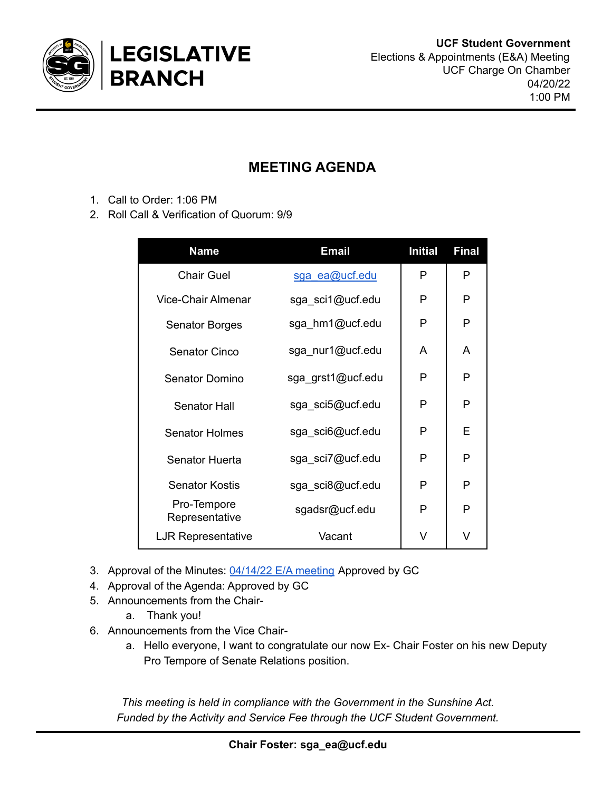

## **MEETING AGENDA**

- 1. Call to Order: 1:06 PM
- 2. Roll Call & Verification of Quorum: 9/9

| <b>Name</b>                   | <b>Email</b>      | <b>Initial</b> | <b>Final</b> |
|-------------------------------|-------------------|----------------|--------------|
| <b>Chair Guel</b>             | sga ea@ucf.edu    | P              | P            |
| <b>Vice-Chair Almenar</b>     | sga_sci1@ucf.edu  | P              | P            |
| <b>Senator Borges</b>         | sga_hm1@ucf.edu   | P              | P            |
| <b>Senator Cinco</b>          | sga_nur1@ucf.edu  | A              | A            |
| <b>Senator Domino</b>         | sga_grst1@ucf.edu | P              | P            |
| <b>Senator Hall</b>           | sga_sci5@ucf.edu  | P              | P            |
| <b>Senator Holmes</b>         | sga_sci6@ucf.edu  | P              | E            |
| Senator Huerta                | sga_sci7@ucf.edu  | P              | P            |
| <b>Senator Kostis</b>         | sga_sci8@ucf.edu  | P              | P            |
| Pro-Tempore<br>Representative | sgadsr@ucf.edu    | P              | P            |
| <b>LJR Representative</b>     | Vacant            | V              | V            |

- 3. Approval of the Minutes: [04/14/22](https://docs.google.com/document/u/0/d/1MNWU_5-2wIMT3jONotyG-b_veF3BirMjSyG80qfBJas/edit) E/A meeting Approved by GC
- 4. Approval of the Agenda: Approved by GC
- 5. Announcements from the Chair
	- a. Thank you!
- 6. Announcements from the Vice Chair
	- a. Hello everyone, I want to congratulate our now Ex- Chair Foster on his new Deputy Pro Tempore of Senate Relations position.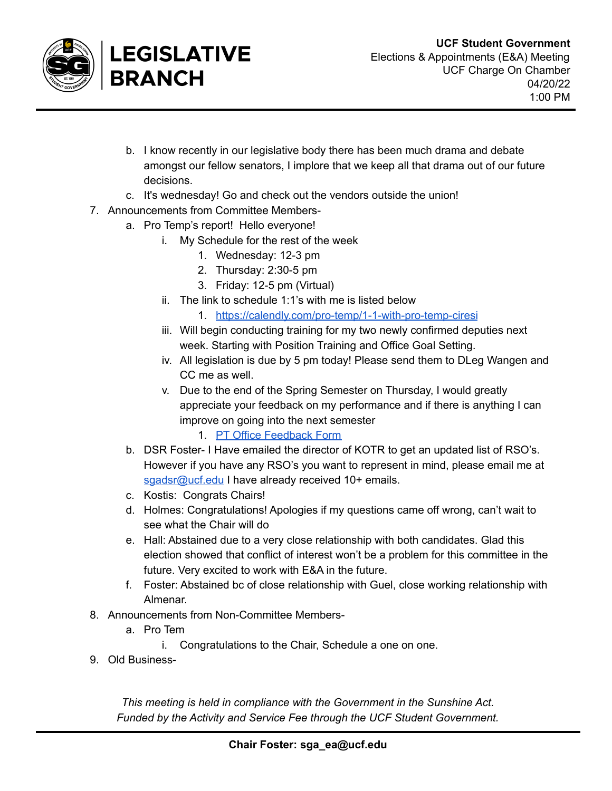

- b. I know recently in our legislative body there has been much drama and debate amongst our fellow senators, I implore that we keep all that drama out of our future decisions.
- c. It's wednesday! Go and check out the vendors outside the union!
- 7. Announcements from Committee Members
	- a. Pro Temp's report! Hello everyone!
		- i. My Schedule for the rest of the week
			- 1. Wednesday: 12-3 pm
			- 2. Thursday: 2:30-5 pm
			- 3. Friday: 12-5 pm (Virtual)
		- ii. The link to schedule 1:1's with me is listed below
			- 1. <https://calendly.com/pro-temp/1-1-with-pro-temp-ciresi>
		- iii. Will begin conducting training for my two newly confirmed deputies next week. Starting with Position Training and Office Goal Setting.
		- iv. All legislation is due by 5 pm today! Please send them to DLeg Wangen and CC me as well.
		- v. Due to the end of the Spring Semester on Thursday, I would greatly appreciate your feedback on my performance and if there is anything I can improve on going into the next semester
			- 1. PT Office [Feedback](https://forms.gle/6SS7GzVA1Y6mU6eYA) Form
		- b. DSR Foster- I Have emailed the director of KOTR to get an updated list of RSO's. However if you have any RSO's you want to represent in mind, please email me at [sgadsr@ucf.edu](mailto:sgadsr@ucf.edu) I have already received 10+ emails.
		- c. Kostis: Congrats Chairs!
		- d. Holmes: Congratulations! Apologies if my questions came off wrong, can't wait to see what the Chair will do
		- e. Hall: Abstained due to a very close relationship with both candidates. Glad this election showed that conflict of interest won't be a problem for this committee in the future. Very excited to work with E&A in the future.
		- f. Foster: Abstained bc of close relationship with Guel, close working relationship with Almenar.
- 8. Announcements from Non-Committee Members
	- a. Pro Tem
		- i. Congratulations to the Chair, Schedule a one on one.
- 9. Old Business-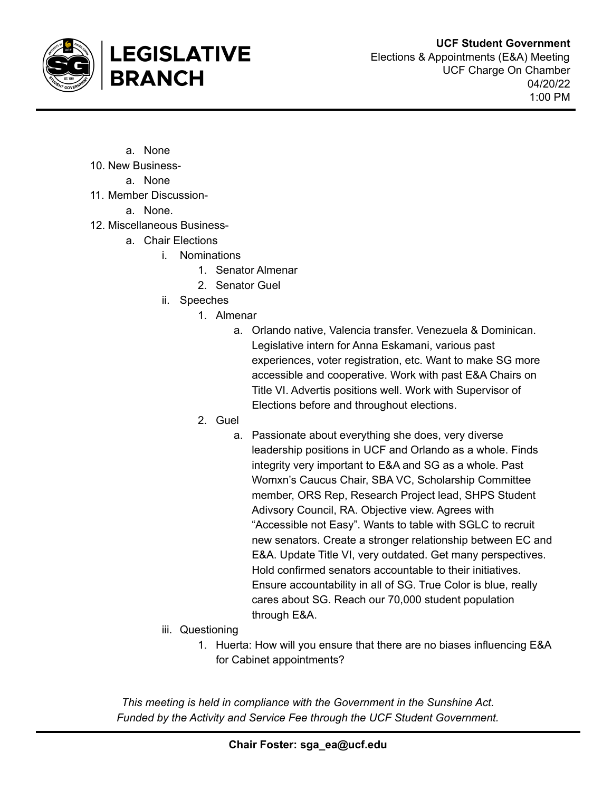

- a. None
- 10. New Business
	- a. None
- 11. Member Discussion-

**BRANCH** 

a. None.

- 12. Miscellaneous Business
	- a. Chair Elections

**LEGISLATIVE** 

- i. Nominations
	- 1. Senator Almenar
	- 2. Senator Guel
	- ii. Speeches
		- 1. Almenar
			- a. Orlando native, Valencia transfer. Venezuela & Dominican. Legislative intern for Anna Eskamani, various past experiences, voter registration, etc. Want to make SG more accessible and cooperative. Work with past E&A Chairs on Title VI. Advertis positions well. Work with Supervisor of Elections before and throughout elections.
		- 2. Guel
			- a. Passionate about everything she does, very diverse leadership positions in UCF and Orlando as a whole. Finds integrity very important to E&A and SG as a whole. Past Womxn's Caucus Chair, SBA VC, Scholarship Committee member, ORS Rep, Research Project lead, SHPS Student Adivsory Council, RA. Objective view. Agrees with "Accessible not Easy". Wants to table with SGLC to recruit new senators. Create a stronger relationship between EC and E&A. Update Title VI, very outdated. Get many perspectives. Hold confirmed senators accountable to their initiatives. Ensure accountability in all of SG. True Color is blue, really cares about SG. Reach our 70,000 student population through E&A.
	- iii. Questioning
		- 1. Huerta: How will you ensure that there are no biases influencing E&A for Cabinet appointments?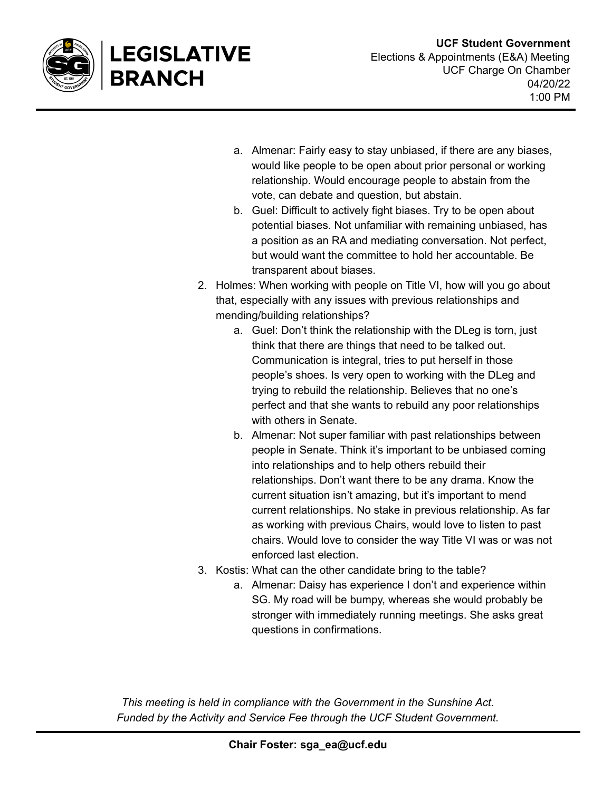

LEGISLATIVE

**BRANCH** 

- a. Almenar: Fairly easy to stay unbiased, if there are any biases, would like people to be open about prior personal or working relationship. Would encourage people to abstain from the vote, can debate and question, but abstain.
- b. Guel: Difficult to actively fight biases. Try to be open about potential biases. Not unfamiliar with remaining unbiased, has a position as an RA and mediating conversation. Not perfect, but would want the committee to hold her accountable. Be transparent about biases.
- 2. Holmes: When working with people on Title VI, how will you go about that, especially with any issues with previous relationships and mending/building relationships?
	- a. Guel: Don't think the relationship with the DLeg is torn, just think that there are things that need to be talked out. Communication is integral, tries to put herself in those people's shoes. Is very open to working with the DLeg and trying to rebuild the relationship. Believes that no one's perfect and that she wants to rebuild any poor relationships with others in Senate.
	- b. Almenar: Not super familiar with past relationships between people in Senate. Think it's important to be unbiased coming into relationships and to help others rebuild their relationships. Don't want there to be any drama. Know the current situation isn't amazing, but it's important to mend current relationships. No stake in previous relationship. As far as working with previous Chairs, would love to listen to past chairs. Would love to consider the way Title VI was or was not enforced last election.
- 3. Kostis: What can the other candidate bring to the table?
	- a. Almenar: Daisy has experience I don't and experience within SG. My road will be bumpy, whereas she would probably be stronger with immediately running meetings. She asks great questions in confirmations.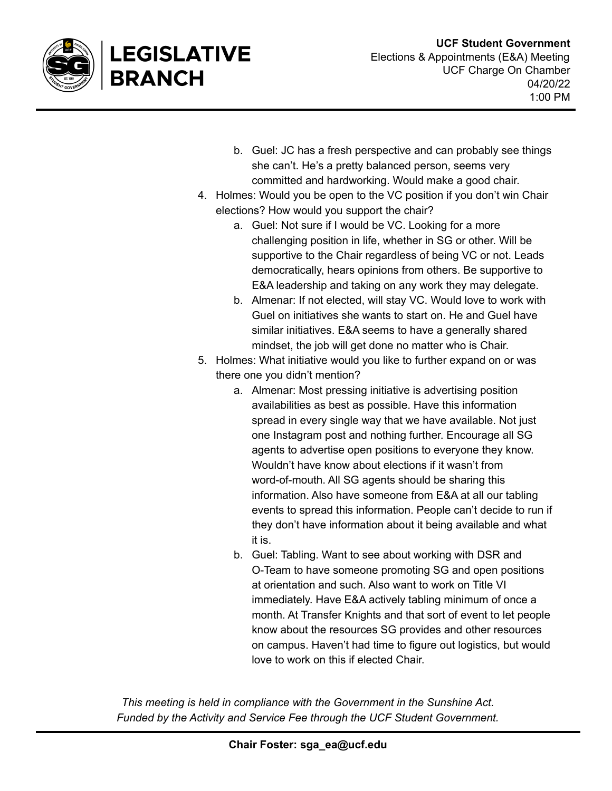

**LEGISLATIVE** 

**BRANCH** 

- b. Guel: JC has a fresh perspective and can probably see things she can't. He's a pretty balanced person, seems very committed and hardworking. Would make a good chair.
- 4. Holmes: Would you be open to the VC position if you don't win Chair elections? How would you support the chair?
	- a. Guel: Not sure if I would be VC. Looking for a more challenging position in life, whether in SG or other. Will be supportive to the Chair regardless of being VC or not. Leads democratically, hears opinions from others. Be supportive to E&A leadership and taking on any work they may delegate.
	- b. Almenar: If not elected, will stay VC. Would love to work with Guel on initiatives she wants to start on. He and Guel have similar initiatives. E&A seems to have a generally shared mindset, the job will get done no matter who is Chair.
- 5. Holmes: What initiative would you like to further expand on or was there one you didn't mention?
	- a. Almenar: Most pressing initiative is advertising position availabilities as best as possible. Have this information spread in every single way that we have available. Not just one Instagram post and nothing further. Encourage all SG agents to advertise open positions to everyone they know. Wouldn't have know about elections if it wasn't from word-of-mouth. All SG agents should be sharing this information. Also have someone from E&A at all our tabling events to spread this information. People can't decide to run if they don't have information about it being available and what it is.
	- b. Guel: Tabling. Want to see about working with DSR and O-Team to have someone promoting SG and open positions at orientation and such. Also want to work on Title VI immediately. Have E&A actively tabling minimum of once a month. At Transfer Knights and that sort of event to let people know about the resources SG provides and other resources on campus. Haven't had time to figure out logistics, but would love to work on this if elected Chair.